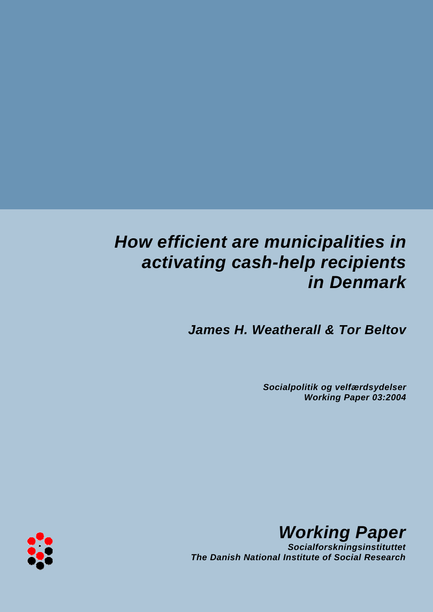# *How efficient are municipalities in activating cash-help recipients in Denmark*

*James H. Weatherall & Tor Beltov*

*Socialpolitik og velfærdsydelser Working Paper 03:2004*



*Working Paper*

*Socialforskningsinstituttet The Danish National Institute of Social Research*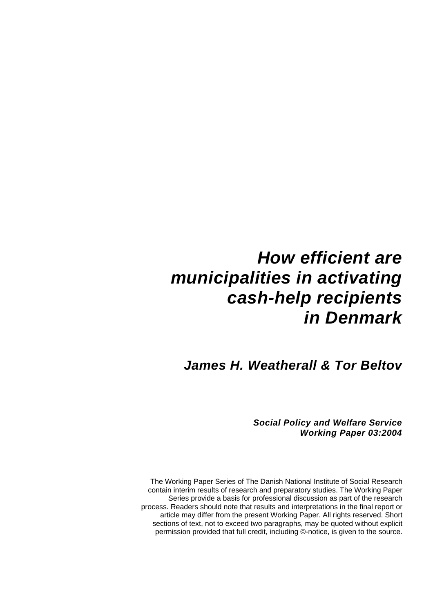# *How efficient are municipalities in activating cash-help recipients in Denmark*

*James H. Weatherall & Tor Beltov* 

*Social Policy and Welfare Service Working Paper 03:2004* 

The Working Paper Series of The Danish National Institute of Social Research contain interim results of research and preparatory studies. The Working Paper Series provide a basis for professional discussion as part of the research process. Readers should note that results and interpretations in the final report or article may differ from the present Working Paper. All rights reserved. Short sections of text, not to exceed two paragraphs, may be quoted without explicit permission provided that full credit, including ©-notice, is given to the source.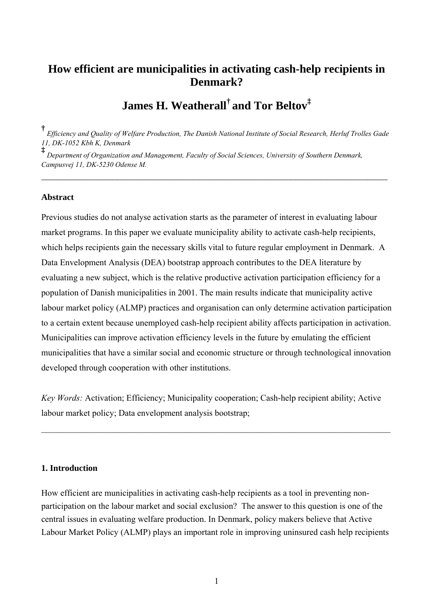# **How efficient are municipalities in activating cash-help recipients in Denmark?**

**James H. Weatherall† and Tor Beltov‡**

**†** *Efficiency and Quality of Welfare Production, The Danish National Institute of Social Research, Herluf Trolles Gade 11, DK-1052 Kbh K, Denmark*

 $\mathcal{L}_\text{max}$  , and the contract of the contract of the contract of the contract of the contract of the contract of the contract of the contract of the contract of the contract of the contract of the contract of the contr

**‡** *Department of Organization and Management, Faculty of Social Sciences, University of Southern Denmark, Campusvej 11, DK-5230 Odense M.* 

#### **Abstract**

Previous studies do not analyse activation starts as the parameter of interest in evaluating labour market programs. In this paper we evaluate municipality ability to activate cash-help recipients, which helps recipients gain the necessary skills vital to future regular employment in Denmark. A Data Envelopment Analysis (DEA) bootstrap approach contributes to the DEA literature by evaluating a new subject, which is the relative productive activation participation efficiency for a population of Danish municipalities in 2001. The main results indicate that municipality active labour market policy (ALMP) practices and organisation can only determine activation participation to a certain extent because unemployed cash-help recipient ability affects participation in activation. Municipalities can improve activation efficiency levels in the future by emulating the efficient municipalities that have a similar social and economic structure or through technological innovation developed through cooperation with other institutions.

*Key Words:* Activation; Efficiency; Municipality cooperation; Cash-help recipient ability; Active labour market policy; Data envelopment analysis bootstrap;

 $\mathcal{L}_\mathcal{L} = \mathcal{L}_\mathcal{L} = \mathcal{L}_\mathcal{L} = \mathcal{L}_\mathcal{L} = \mathcal{L}_\mathcal{L} = \mathcal{L}_\mathcal{L} = \mathcal{L}_\mathcal{L} = \mathcal{L}_\mathcal{L} = \mathcal{L}_\mathcal{L} = \mathcal{L}_\mathcal{L} = \mathcal{L}_\mathcal{L} = \mathcal{L}_\mathcal{L} = \mathcal{L}_\mathcal{L} = \mathcal{L}_\mathcal{L} = \mathcal{L}_\mathcal{L} = \mathcal{L}_\mathcal{L} = \mathcal{L}_\mathcal{L}$ 

# **1. Introduction**

How efficient are municipalities in activating cash-help recipients as a tool in preventing nonparticipation on the labour market and social exclusion? The answer to this question is one of the central issues in evaluating welfare production. In Denmark, policy makers believe that Active Labour Market Policy (ALMP) plays an important role in improving uninsured cash help recipients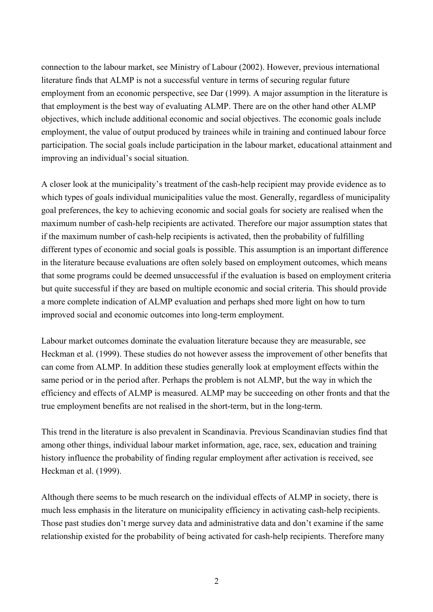connection to the labour market, see Ministry of Labour (2002). However, previous international literature finds that ALMP is not a successful venture in terms of securing regular future employment from an economic perspective, see Dar (1999). A major assumption in the literature is that employment is the best way of evaluating ALMP. There are on the other hand other ALMP objectives, which include additional economic and social objectives. The economic goals include employment, the value of output produced by trainees while in training and continued labour force participation. The social goals include participation in the labour market, educational attainment and improving an individual's social situation.

A closer look at the municipality's treatment of the cash-help recipient may provide evidence as to which types of goals individual municipalities value the most. Generally, regardless of municipality goal preferences, the key to achieving economic and social goals for society are realised when the maximum number of cash-help recipients are activated. Therefore our major assumption states that if the maximum number of cash-help recipients is activated, then the probability of fulfilling different types of economic and social goals is possible. This assumption is an important difference in the literature because evaluations are often solely based on employment outcomes, which means that some programs could be deemed unsuccessful if the evaluation is based on employment criteria but quite successful if they are based on multiple economic and social criteria. This should provide a more complete indication of ALMP evaluation and perhaps shed more light on how to turn improved social and economic outcomes into long-term employment.

Labour market outcomes dominate the evaluation literature because they are measurable, see Heckman et al. (1999). These studies do not however assess the improvement of other benefits that can come from ALMP. In addition these studies generally look at employment effects within the same period or in the period after. Perhaps the problem is not ALMP, but the way in which the efficiency and effects of ALMP is measured. ALMP may be succeeding on other fronts and that the true employment benefits are not realised in the short-term, but in the long-term.

This trend in the literature is also prevalent in Scandinavia. Previous Scandinavian studies find that among other things, individual labour market information, age, race, sex, education and training history influence the probability of finding regular employment after activation is received, see Heckman et al. (1999).

Although there seems to be much research on the individual effects of ALMP in society, there is much less emphasis in the literature on municipality efficiency in activating cash-help recipients. Those past studies don't merge survey data and administrative data and don't examine if the same relationship existed for the probability of being activated for cash-help recipients. Therefore many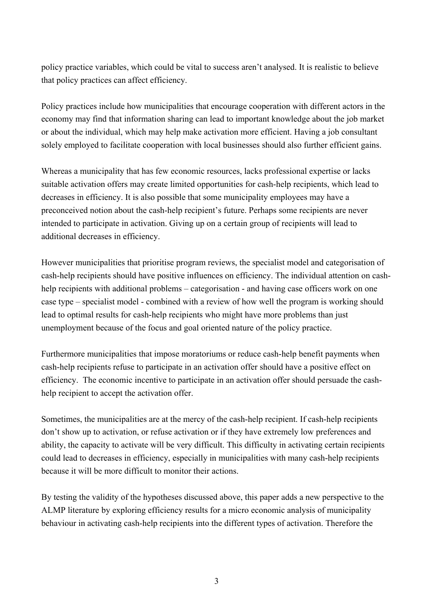policy practice variables, which could be vital to success aren't analysed. It is realistic to believe that policy practices can affect efficiency.

Policy practices include how municipalities that encourage cooperation with different actors in the economy may find that information sharing can lead to important knowledge about the job market or about the individual, which may help make activation more efficient. Having a job consultant solely employed to facilitate cooperation with local businesses should also further efficient gains.

Whereas a municipality that has few economic resources, lacks professional expertise or lacks suitable activation offers may create limited opportunities for cash-help recipients, which lead to decreases in efficiency. It is also possible that some municipality employees may have a preconceived notion about the cash-help recipient's future. Perhaps some recipients are never intended to participate in activation. Giving up on a certain group of recipients will lead to additional decreases in efficiency.

However municipalities that prioritise program reviews, the specialist model and categorisation of cash-help recipients should have positive influences on efficiency. The individual attention on cashhelp recipients with additional problems – categorisation - and having case officers work on one case type – specialist model - combined with a review of how well the program is working should lead to optimal results for cash-help recipients who might have more problems than just unemployment because of the focus and goal oriented nature of the policy practice.

Furthermore municipalities that impose moratoriums or reduce cash-help benefit payments when cash-help recipients refuse to participate in an activation offer should have a positive effect on efficiency. The economic incentive to participate in an activation offer should persuade the cashhelp recipient to accept the activation offer.

Sometimes, the municipalities are at the mercy of the cash-help recipient. If cash-help recipients don't show up to activation, or refuse activation or if they have extremely low preferences and ability, the capacity to activate will be very difficult. This difficulty in activating certain recipients could lead to decreases in efficiency, especially in municipalities with many cash-help recipients because it will be more difficult to monitor their actions.

By testing the validity of the hypotheses discussed above, this paper adds a new perspective to the ALMP literature by exploring efficiency results for a micro economic analysis of municipality behaviour in activating cash-help recipients into the different types of activation. Therefore the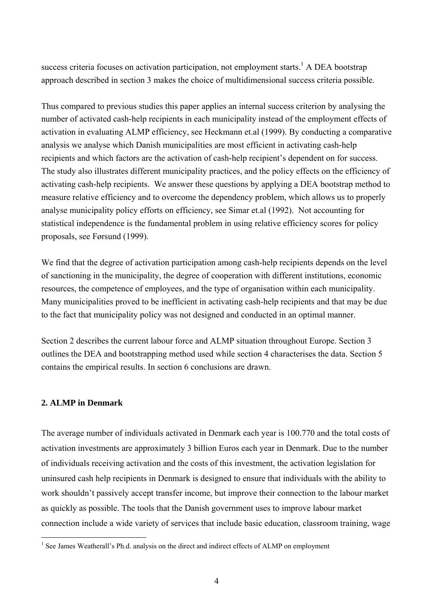success criteria focuses on activation participation, not employment starts.<sup>[1](#page-5-0)</sup> A DEA bootstrap approach described in section 3 makes the choice of multidimensional success criteria possible.

Thus compared to previous studies this paper applies an internal success criterion by analysing the number of activated cash-help recipients in each municipality instead of the employment effects of activation in evaluating ALMP efficiency, see Heckmann et.al (1999). By conducting a comparative analysis we analyse which Danish municipalities are most efficient in activating cash-help recipients and which factors are the activation of cash-help recipient's dependent on for success. The study also illustrates different municipality practices, and the policy effects on the efficiency of activating cash-help recipients. We answer these questions by applying a DEA bootstrap method to measure relative efficiency and to overcome the dependency problem, which allows us to properly analyse municipality policy efforts on efficiency, see Simar et.al (1992). Not accounting for statistical independence is the fundamental problem in using relative efficiency scores for policy proposals, see Førsund (1999).

We find that the degree of activation participation among cash-help recipients depends on the level of sanctioning in the municipality, the degree of cooperation with different institutions, economic resources, the competence of employees, and the type of organisation within each municipality. Many municipalities proved to be inefficient in activating cash-help recipients and that may be due to the fact that municipality policy was not designed and conducted in an optimal manner.

Section 2 describes the current labour force and ALMP situation throughout Europe. Section 3 outlines the DEA and bootstrapping method used while section 4 characterises the data. Section 5 contains the empirical results. In section 6 conclusions are drawn.

# **2. ALMP in Denmark**

 $\overline{a}$ 

The average number of individuals activated in Denmark each year is 100.770 and the total costs of activation investments are approximately 3 billion Euros each year in Denmark. Due to the number of individuals receiving activation and the costs of this investment, the activation legislation for uninsured cash help recipients in Denmark is designed to ensure that individuals with the ability to work shouldn't passively accept transfer income, but improve their connection to the labour market as quickly as possible. The tools that the Danish government uses to improve labour market connection include a wide variety of services that include basic education, classroom training, wage

<span id="page-5-0"></span><sup>&</sup>lt;sup>1</sup> See James Weatherall's Ph.d. analysis on the direct and indirect effects of ALMP on employment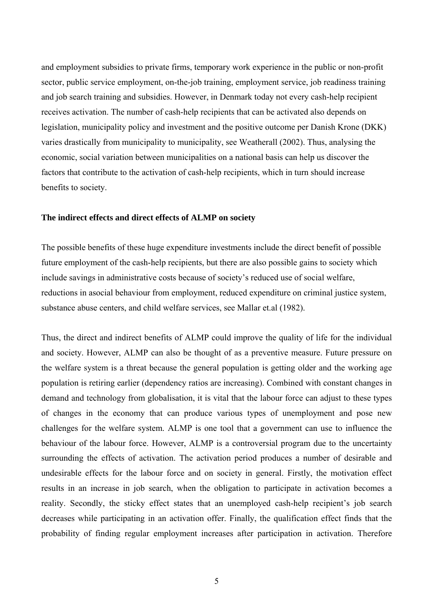and employment subsidies to private firms, temporary work experience in the public or non-profit sector, public service employment, on-the-job training, employment service, job readiness training and job search training and subsidies. However, in Denmark today not every cash-help recipient receives activation. The number of cash-help recipients that can be activated also depends on legislation, municipality policy and investment and the positive outcome per Danish Krone (DKK) varies drastically from municipality to municipality, see Weatherall (2002). Thus, analysing the economic, social variation between municipalities on a national basis can help us discover the factors that contribute to the activation of cash-help recipients, which in turn should increase benefits to society.

#### **The indirect effects and direct effects of ALMP on society**

The possible benefits of these huge expenditure investments include the direct benefit of possible future employment of the cash-help recipients, but there are also possible gains to society which include savings in administrative costs because of society's reduced use of social welfare, reductions in asocial behaviour from employment, reduced expenditure on criminal justice system, substance abuse centers, and child welfare services, see Mallar et.al (1982).

Thus, the direct and indirect benefits of ALMP could improve the quality of life for the individual and society. However, ALMP can also be thought of as a preventive measure. Future pressure on the welfare system is a threat because the general population is getting older and the working age population is retiring earlier (dependency ratios are increasing). Combined with constant changes in demand and technology from globalisation, it is vital that the labour force can adjust to these types of changes in the economy that can produce various types of unemployment and pose new challenges for the welfare system. ALMP is one tool that a government can use to influence the behaviour of the labour force. However, ALMP is a controversial program due to the uncertainty surrounding the effects of activation. The activation period produces a number of desirable and undesirable effects for the labour force and on society in general. Firstly, the motivation effect results in an increase in job search, when the obligation to participate in activation becomes a reality. Secondly, the sticky effect states that an unemployed cash-help recipient's job search decreases while participating in an activation offer. Finally, the qualification effect finds that the probability of finding regular employment increases after participation in activation. Therefore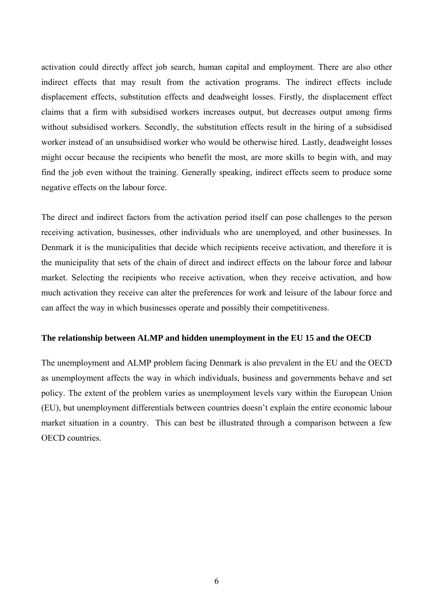activation could directly affect job search, human capital and employment. There are also other indirect effects that may result from the activation programs. The indirect effects include displacement effects, substitution effects and deadweight losses. Firstly, the displacement effect claims that a firm with subsidised workers increases output, but decreases output among firms without subsidised workers. Secondly, the substitution effects result in the hiring of a subsidised worker instead of an unsubsidised worker who would be otherwise hired. Lastly, deadweight losses might occur because the recipients who benefit the most, are more skills to begin with, and may find the job even without the training. Generally speaking, indirect effects seem to produce some negative effects on the labour force.

The direct and indirect factors from the activation period itself can pose challenges to the person receiving activation, businesses, other individuals who are unemployed, and other businesses. In Denmark it is the municipalities that decide which recipients receive activation, and therefore it is the municipality that sets of the chain of direct and indirect effects on the labour force and labour market. Selecting the recipients who receive activation, when they receive activation, and how much activation they receive can alter the preferences for work and leisure of the labour force and can affect the way in which businesses operate and possibly their competitiveness.

#### **The relationship between ALMP and hidden unemployment in the EU 15 and the OECD**

The unemployment and ALMP problem facing Denmark is also prevalent in the EU and the OECD as unemployment affects the way in which individuals, business and governments behave and set policy. The extent of the problem varies as unemployment levels vary within the European Union (EU), but unemployment differentials between countries doesn't explain the entire economic labour market situation in a country. This can best be illustrated through a comparison between a few OECD countries.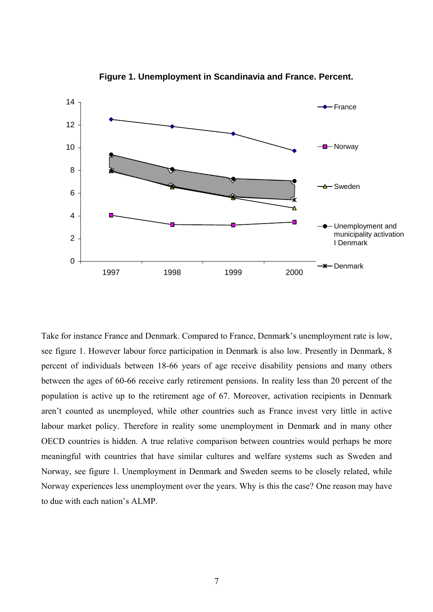

**Figure 1. Unemployment in Scandinavia and France. Percent.**

Take for instance France and Denmark. Compared to France, Denmark's unemployment rate is low, see figure 1. However labour force participation in Denmark is also low. Presently in Denmark, 8 percent of individuals between 18-66 years of age receive disability pensions and many others between the ages of 60-66 receive early retirement pensions. In reality less than 20 percent of the population is active up to the retirement age of 67. Moreover, activation recipients in Denmark aren't counted as unemployed, while other countries such as France invest very little in active labour market policy. Therefore in reality some unemployment in Denmark and in many other OECD countries is hidden. A true relative comparison between countries would perhaps be more meaningful with countries that have similar cultures and welfare systems such as Sweden and Norway, see figure 1. Unemployment in Denmark and Sweden seems to be closely related, while Norway experiences less unemployment over the years. Why is this the case? One reason may have to due with each nation's ALMP.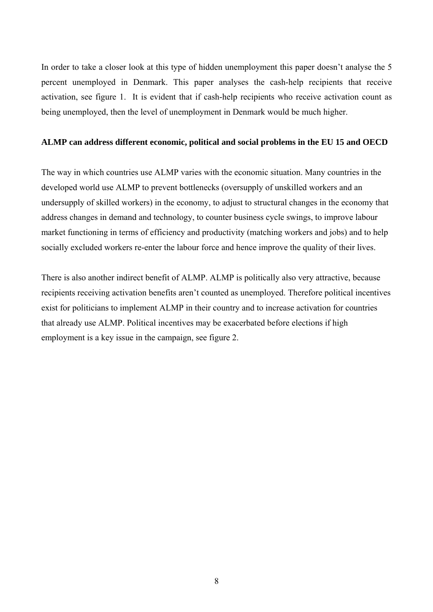In order to take a closer look at this type of hidden unemployment this paper doesn't analyse the 5 percent unemployed in Denmark. This paper analyses the cash-help recipients that receive activation, see figure 1. It is evident that if cash-help recipients who receive activation count as being unemployed, then the level of unemployment in Denmark would be much higher.

# **ALMP can address different economic, political and social problems in the EU 15 and OECD**

The way in which countries use ALMP varies with the economic situation. Many countries in the developed world use ALMP to prevent bottlenecks (oversupply of unskilled workers and an undersupply of skilled workers) in the economy, to adjust to structural changes in the economy that address changes in demand and technology, to counter business cycle swings, to improve labour market functioning in terms of efficiency and productivity (matching workers and jobs) and to help socially excluded workers re-enter the labour force and hence improve the quality of their lives.

There is also another indirect benefit of ALMP. ALMP is politically also very attractive, because recipients receiving activation benefits aren't counted as unemployed. Therefore political incentives exist for politicians to implement ALMP in their country and to increase activation for countries that already use ALMP. Political incentives may be exacerbated before elections if high employment is a key issue in the campaign, see figure 2.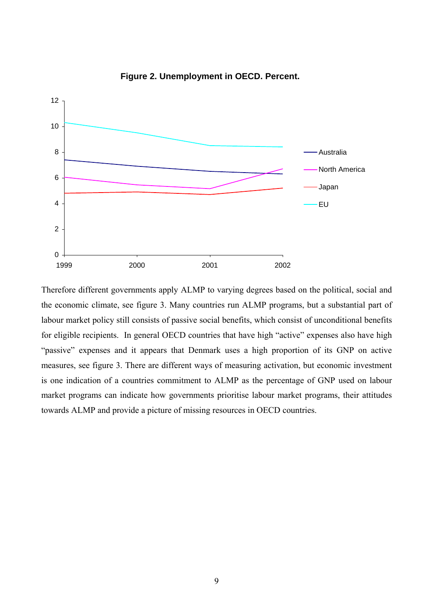

**Figure 2. Unemployment in OECD. Percent.**

Therefore different governments apply ALMP to varying degrees based on the political, social and the economic climate, see figure 3. Many countries run ALMP programs, but a substantial part of labour market policy still consists of passive social benefits, which consist of unconditional benefits for eligible recipients. In general OECD countries that have high "active" expenses also have high "passive" expenses and it appears that Denmark uses a high proportion of its GNP on active measures, see figure 3. There are different ways of measuring activation, but economic investment is one indication of a countries commitment to ALMP as the percentage of GNP used on labour market programs can indicate how governments prioritise labour market programs, their attitudes towards ALMP and provide a picture of missing resources in OECD countries.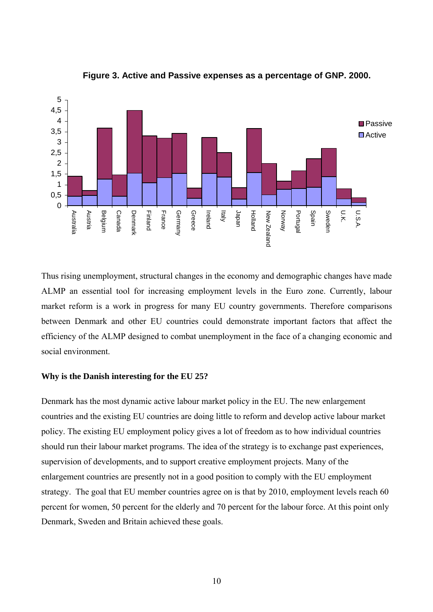

**Figure 3. Active and Passive expenses as a percentage of GNP. 2000.**

Thus rising unemployment, structural changes in the economy and demographic changes have made ALMP an essential tool for increasing employment levels in the Euro zone. Currently, labour market reform is a work in progress for many EU country governments. Therefore comparisons between Denmark and other EU countries could demonstrate important factors that affect the efficiency of the ALMP designed to combat unemployment in the face of a changing economic and social environment.

#### **Why is the Danish interesting for the EU 25?**

Denmark has the most dynamic active labour market policy in the EU. The new enlargement countries and the existing EU countries are doing little to reform and develop active labour market policy. The existing EU employment policy gives a lot of freedom as to how individual countries should run their labour market programs. The idea of the strategy is to exchange past experiences, supervision of developments, and to support creative employment projects. Many of the enlargement countries are presently not in a good position to comply with the EU employment strategy. The goal that EU member countries agree on is that by 2010, employment levels reach 60 percent for women, 50 percent for the elderly and 70 percent for the labour force. At this point only Denmark, Sweden and Britain achieved these goals.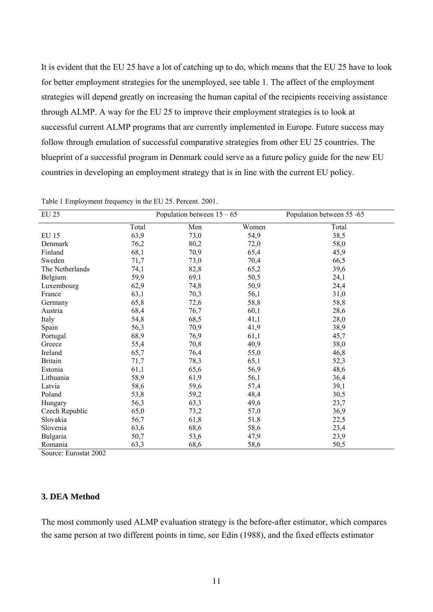It is evident that the EU 25 have a lot of catching up to do, which means that the EU 25 have to look for better employment strategies for the unemployed, see table 1. The affect of the employment strategies will depend greatly on increasing the human capital of the recipients receiving assistance through ALMP. A way for the EU 25 to improve their employment strategies is to look at successful current ALMP programs that are currently implemented in Europe. Future success may follow through emulation of successful comparative strategies from other EU 25 countries. The blueprint of a successful program in Denmark could serve as a future policy guide for the new EU countries in developing an employment strategy that is in line with the current EU policy.

| <b>EU 25</b>    |       | Population between $15 - 65$ | Population between 55 -65 |       |
|-----------------|-------|------------------------------|---------------------------|-------|
|                 | Total | Men                          | Women                     | Total |
| <b>EU 15</b>    | 63,9  | 73,0                         | 54,9                      | 38,5  |
| Denmark         | 76,2  | 80,2                         | 72,0                      | 58,0  |
| Finland         | 68,1  | 70,9                         | 65,4                      | 45,9  |
| Sweden          | 71,7  | 73,0                         | 70,4                      | 66,5  |
| The Netherlands | 74,1  | 82,8                         | 65,2                      | 39,6  |
| Belgium         | 59,9  | 69,1                         | 50,5                      | 24,1  |
| Luxembourg      | 62,9  | 74,8                         | 50,9                      | 24,4  |
| France          | 63,1  | 70,3                         | 56,1                      | 31,0  |
| Germany         | 65,8  | 72,6                         | 58,8                      | 58,8  |
| Austria         | 68,4  | 76,7                         | 60,1                      | 28,6  |
| Italy           | 54,8  | 68,5                         | 41,1                      | 28,0  |
| Spain           | 56,3  | 70,9                         | 41,9                      | 38,9  |
| Portugal        | 68,9  | 76,9                         | 61,1                      | 45,7  |
| Greece          | 55,4  | 70,8                         | 40,9                      | 38,0  |
| Ireland         | 65,7  | 76,4                         | 55,0                      | 46,8  |
| <b>Britain</b>  | 71,7  | 78,3                         | 65,1                      | 52,3  |
| Estonia         | 61,1  | 65,6                         | 56,9                      | 48,6  |
| Lithuania       | 58,9  | 61,9                         | 56,1                      | 36,4  |
| Latvia          | 58,6  | 59,6                         | 57,4                      | 39,1  |
| Poland          | 53,8  | 59,2                         | 48,4                      | 30,5  |
| Hungary         | 56,3  | 63,3                         | 49,6                      | 23,7  |
| Czech Republic  | 65,0  | 73,2                         | 57,0                      | 36,9  |
| Slovakia        | 56,7  | 61,8                         | 51,8                      | 22,5  |
| Slovenia        | 63,6  | 68,6                         | 58,6                      | 23,4  |
| Bulgaria        | 50,7  | 53,6                         | 47,9                      | 23,9  |
| Romania         | 63,3  | 68,6                         | 58,6                      | 50,5  |

Table 1 Employment frequency in the EU 25. Percent. 2001.

Source: Eurostat 2002

## **3. DEA Method**

The most commonly used ALMP evaluation strategy is the before-after estimator, which compares the same person at two different points in time, see Edin (1988), and the fixed effects estimator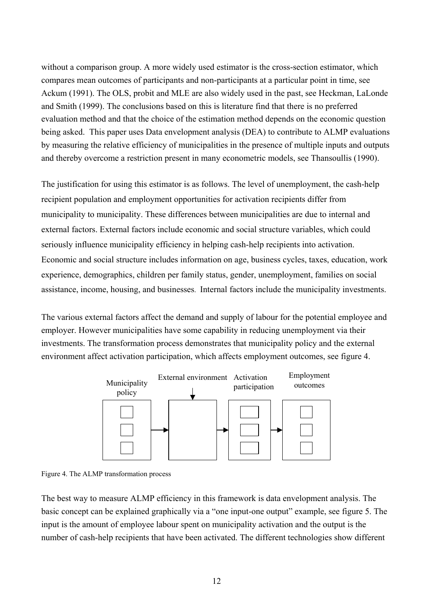without a comparison group. A more widely used estimator is the cross-section estimator, which compares mean outcomes of participants and non-participants at a particular point in time, see Ackum (1991). The OLS, probit and MLE are also widely used in the past, see Heckman, LaLonde and Smith (1999). The conclusions based on this is literature find that there is no preferred evaluation method and that the choice of the estimation method depends on the economic question being asked. This paper uses Data envelopment analysis (DEA) to contribute to ALMP evaluations by measuring the relative efficiency of municipalities in the presence of multiple inputs and outputs and thereby overcome a restriction present in many econometric models, see Thansoullis (1990).

The justification for using this estimator is as follows. The level of unemployment, the cash-help recipient population and employment opportunities for activation recipients differ from municipality to municipality. These differences between municipalities are due to internal and external factors. External factors include economic and social structure variables, which could seriously influence municipality efficiency in helping cash-help recipients into activation. Economic and social structure includes information on age, business cycles, taxes, education, work experience, demographics, children per family status, gender, unemployment, families on social assistance, income, housing, and businesses. Internal factors include the municipality investments.

The various external factors affect the demand and supply of labour for the potential employee and employer. However municipalities have some capability in reducing unemployment via their investments. The transformation process demonstrates that municipality policy and the external environment affect activation participation, which affects employment outcomes, see figure 4.



Figure 4. The ALMP transformation process

The best way to measure ALMP efficiency in this framework is data envelopment analysis. The basic concept can be explained graphically via a "one input-one output" example, see figure 5. The input is the amount of employee labour spent on municipality activation and the output is the number of cash-help recipients that have been activated. The different technologies show different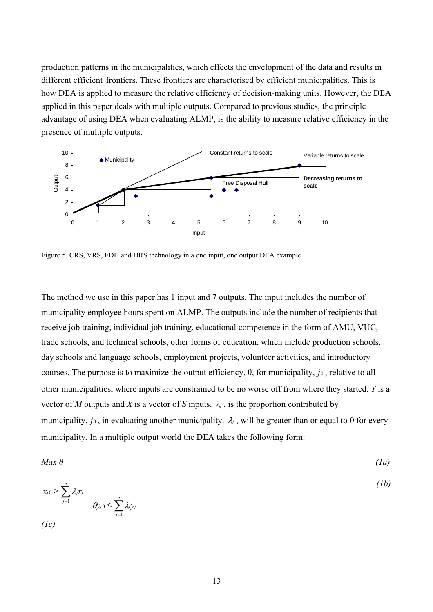production patterns in the municipalities, which effects the envelopment of the data and results in different efficient frontiers. These frontiers are characterised by efficient municipalities. This is how DEA is applied to measure the relative efficiency of decision-making units. However, the DEA applied in this paper deals with multiple outputs. Compared to previous studies, the principle advantage of using DEA when evaluating ALMP, is the ability to measure relative efficiency in the presence of multiple outputs.



Figure 5. CRS, VRS, FDH and DRS technology in a one input, one output DEA example

The method we use in this paper has 1 input and 7 outputs. The input includes the number of municipality employee hours spent on ALMP. The outputs include the number of recipients that receive job training, individual job training, educational competence in the form of AMU, VUC, trade schools, and technical schools, other forms of education, which include production schools, day schools and language schools, employment projects, volunteer activities, and introductory courses. The purpose is to maximize the output efficiency,  $\theta$ , for municipality,  $j_0$ , relative to all other municipalities, where inputs are constrained to be no worse off from where they started. *Y* is a vector of *M* outputs and *X* is a vector of *S* inputs.  $\lambda_j$ , is the proportion contributed by municipality,  $j_0$ , in evaluating another municipality.  $\lambda_j$ , will be greater than or equal to 0 for every municipality. In a multiple output world the DEA takes the following form:

$$
Max \theta \tag{1a}
$$

$$
x_{j0} \geq \sum_{j=1}^n \lambda_j x_j
$$
  

$$
\theta y_{j0} \leq \sum_{j=1}^n \lambda_j y_j
$$
 (1b)

*(1c)*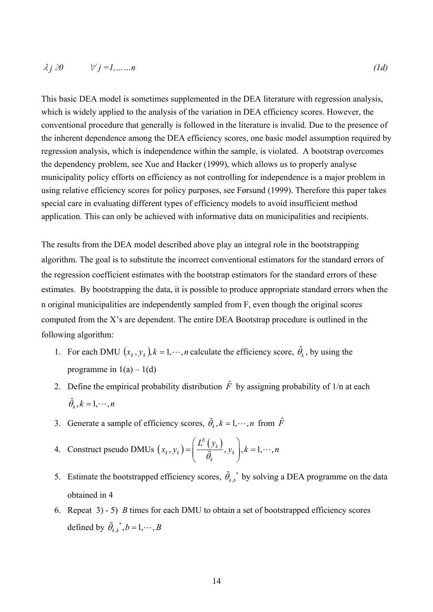This basic DEA model is sometimes supplemented in the DEA literature with regression analysis, which is widely applied to the analysis of the variation in DEA efficiency scores. However, the conventional procedure that generally is followed in the literature is invalid. Due to the presence of the inherent dependence among the DEA efficiency scores, one basic model assumption required by regression analysis, which is independence within the sample, is violated. A bootstrap overcomes the dependency problem, see Xue and Hacker (1999), which allows us to properly analyse municipality policy efforts on efficiency as not controlling for independence is a major problem in using relative efficiency scores for policy purposes, see Førsund (1999). Therefore this paper takes special care in evaluating different types of efficiency models to avoid insufficient method application. This can only be achieved with informative data on municipalities and recipients.

The results from the DEA model described above play an integral role in the bootstrapping algorithm. The goal is to substitute the incorrect conventional estimators for the standard errors of the regression coefficient estimates with the bootstrap estimators for the standard errors of these estimates. By bootstrapping the data, it is possible to produce appropriate standard errors when the n original municipalities are independently sampled from F, even though the original scores computed from the X's are dependent. The entire DEA Bootstrap procedure is outlined in the following algorithm:

- 1. For each DMU  $(x_k, y_k)$ ,  $k = 1, \dots, n$  calculate the efficiency score,  $\hat{\theta}_k$ , by using the programme in  $1(a) - 1(d)$
- 2. Define the empirical probability distribution  $\hat{F}$  by assigning probability of 1/n at each  $\hat{\theta}_k$ ,  $k = 1, \dots, n$
- 3. Generate a sample of efficiency scores,  $\tilde{\theta}_k$ ,  $k = 1, \dots, n$  from  $\hat{F}$
- 4. Construct pseudo DMUs  $(x_k, y_k) = \left(\frac{L^E(y_k)}{\tilde{z}}, y_k\right)$ , *k*  $k, y_k$   $\vert y - \vert$   $\tilde{a}$   $y_k$ *k*  $L^{\scriptscriptstyle E}$  (  ${\rm y}$  $(x_k, y_k) = \left( \frac{\sum (y_k)}{\tilde{\theta}_k}, y_k \right), k = 1, \cdots,$  $\left( L^{E} \left( \gamma_{k} \right) \right)$  $=\left| \frac{E(y_k)}{\tilde{a}}, y_k \right|, k =$  $\left(\frac{\sum (y_k)}{\tilde{\theta}_k}, y_k\right), k = 1, \cdots, n$
- 5. Estimate the bootstrapped efficiency scores,  $\tilde{\theta}_{k}$  by solving a DEA programme on the data obtained in 4
- 6. Repeat 3) 5) *B* times for each DMU to obtain a set of bootstrapped efficiency scores defined by  $\tilde{\theta}_{k,b}^{\ \ *}, b = 1, \cdots, B$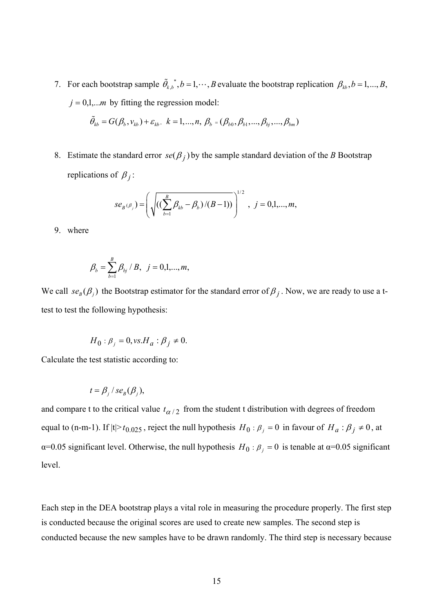7. For each bootstrap sample  $\tilde{\theta}_{k,b}^*$ ,  $b = 1, \dots, B$  evaluate the bootstrap replication  $\beta_{kb}, b = 1, \dots, B$ ,  $j = 0,1,...m$  by fitting the regression model:

$$
\tilde{\theta}_{kb} = G(\beta_b, v_{kb}) + \varepsilon_{kb}, \ k = 1, ..., n, \ \beta_b = (\beta_{b0}, \beta_{b1}, ..., \beta_{bj}, ..., \beta_{bm})
$$

8. Estimate the standard error  $se(B_j)$  by the sample standard deviation of the *B* Bootstrap replications of  $\beta_j$ :

$$
se_{B}(\beta_j) = \left(\sqrt{\left((\sum_{b=1}^{B} \beta_{kb} - \beta_b)/(B-1)\right)}\right)^{1/2}, j = 0,1,...,m,
$$

9. where

$$
\beta_b = \sum_{b=1}^B \beta_{bj} / B, \ \ j = 0, 1, ..., m,
$$

We call  $se_B(\beta_j)$  the Bootstrap estimator for the standard error of  $\beta_j$ . Now, we are ready to use a ttest to test the following hypothesis:

$$
H_0: \beta_j = 0, \text{vs.} H_a: \beta_j \neq 0.
$$

Calculate the test statistic according to:

$$
t = \beta_j / s e_B(\beta_j),
$$

and compare t to the critical value  $t_{\alpha/2}$  from the student t distribution with degrees of freedom equal to (n-m-1). If  $|t| > t_{0.025}$ , reject the null hypothesis  $H_0: \beta_j = 0$  in favour of  $H_a: \beta_j \neq 0$ , at α=0.05 significant level. Otherwise, the null hypothesis  $H_0$ :  $β_j = 0$  is tenable at α=0.05 significant level.

Each step in the DEA bootstrap plays a vital role in measuring the procedure properly. The first step is conducted because the original scores are used to create new samples. The second step is conducted because the new samples have to be drawn randomly. The third step is necessary because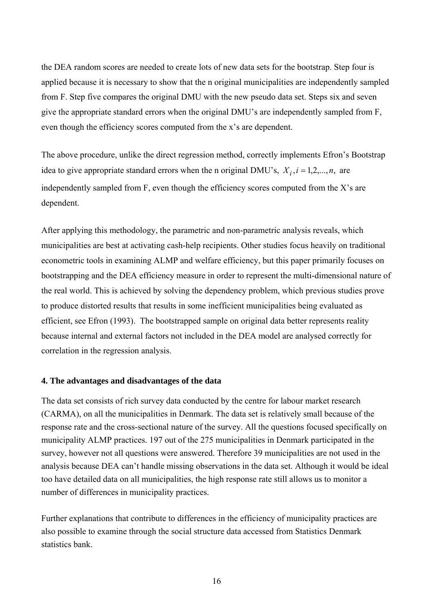the DEA random scores are needed to create lots of new data sets for the bootstrap. Step four is applied because it is necessary to show that the n original municipalities are independently sampled from F. Step five compares the original DMU with the new pseudo data set. Steps six and seven give the appropriate standard errors when the original DMU's are independently sampled from F, even though the efficiency scores computed from the x's are dependent.

The above procedure, unlike the direct regression method, correctly implements Efron's Bootstrap idea to give appropriate standard errors when the n original DMU's,  $X_i$ ,  $i = 1,2,...,n$ , are independently sampled from F, even though the efficiency scores computed from the X's are dependent.

After applying this methodology, the parametric and non-parametric analysis reveals, which municipalities are best at activating cash-help recipients. Other studies focus heavily on traditional econometric tools in examining ALMP and welfare efficiency, but this paper primarily focuses on bootstrapping and the DEA efficiency measure in order to represent the multi-dimensional nature of the real world. This is achieved by solving the dependency problem, which previous studies prove to produce distorted results that results in some inefficient municipalities being evaluated as efficient, see Efron (1993). The bootstrapped sample on original data better represents reality because internal and external factors not included in the DEA model are analysed correctly for correlation in the regression analysis.

#### **4. The advantages and disadvantages of the data**

The data set consists of rich survey data conducted by the centre for labour market research (CARMA), on all the municipalities in Denmark. The data set is relatively small because of the response rate and the cross-sectional nature of the survey. All the questions focused specifically on municipality ALMP practices. 197 out of the 275 municipalities in Denmark participated in the survey, however not all questions were answered. Therefore 39 municipalities are not used in the analysis because DEA can't handle missing observations in the data set. Although it would be ideal too have detailed data on all municipalities, the high response rate still allows us to monitor a number of differences in municipality practices.

Further explanations that contribute to differences in the efficiency of municipality practices are also possible to examine through the social structure data accessed from Statistics Denmark statistics bank.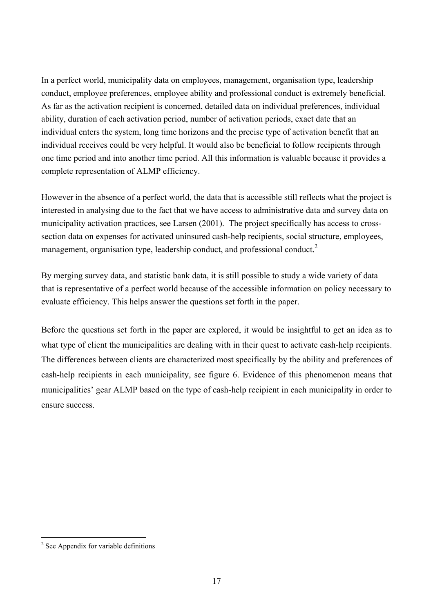In a perfect world, municipality data on employees, management, organisation type, leadership conduct, employee preferences, employee ability and professional conduct is extremely beneficial. As far as the activation recipient is concerned, detailed data on individual preferences, individual ability, duration of each activation period, number of activation periods, exact date that an individual enters the system, long time horizons and the precise type of activation benefit that an individual receives could be very helpful. It would also be beneficial to follow recipients through one time period and into another time period. All this information is valuable because it provides a complete representation of ALMP efficiency.

However in the absence of a perfect world, the data that is accessible still reflects what the project is interested in analysing due to the fact that we have access to administrative data and survey data on municipality activation practices, see Larsen (2001). The project specifically has access to crosssection data on expenses for activated uninsured cash-help recipients, social structure, employees, management, organisation type, leadership conduct, and professional conduct.<sup>[2](#page-18-0)</sup>

By merging survey data, and statistic bank data, it is still possible to study a wide variety of data that is representative of a perfect world because of the accessible information on policy necessary to evaluate efficiency. This helps answer the questions set forth in the paper.

Before the questions set forth in the paper are explored, it would be insightful to get an idea as to what type of client the municipalities are dealing with in their quest to activate cash-help recipients. The differences between clients are characterized most specifically by the ability and preferences of cash-help recipients in each municipality, see figure 6. Evidence of this phenomenon means that municipalities' gear ALMP based on the type of cash-help recipient in each municipality in order to ensure success.

<span id="page-18-0"></span><sup>&</sup>lt;sup>2</sup> See Appendix for variable definitions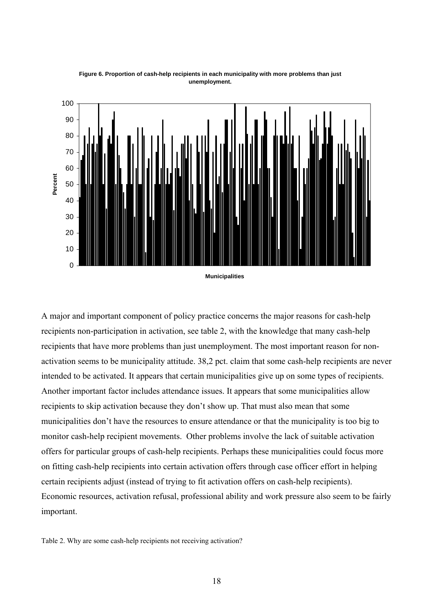

**Figure 6. Proportion of cash-help recipients in each municipality with more problems than just unemployment.**

**Municipalities**

A major and important component of policy practice concerns the major reasons for cash-help recipients non-participation in activation, see table 2, with the knowledge that many cash-help recipients that have more problems than just unemployment. The most important reason for nonactivation seems to be municipality attitude. 38,2 pct. claim that some cash-help recipients are never intended to be activated. It appears that certain municipalities give up on some types of recipients. Another important factor includes attendance issues. It appears that some municipalities allow recipients to skip activation because they don't show up. That must also mean that some municipalities don't have the resources to ensure attendance or that the municipality is too big to monitor cash-help recipient movements. Other problems involve the lack of suitable activation offers for particular groups of cash-help recipients. Perhaps these municipalities could focus more on fitting cash-help recipients into certain activation offers through case officer effort in helping certain recipients adjust (instead of trying to fit activation offers on cash-help recipients). Economic resources, activation refusal, professional ability and work pressure also seem to be fairly important.

Table 2. Why are some cash-help recipients not receiving activation?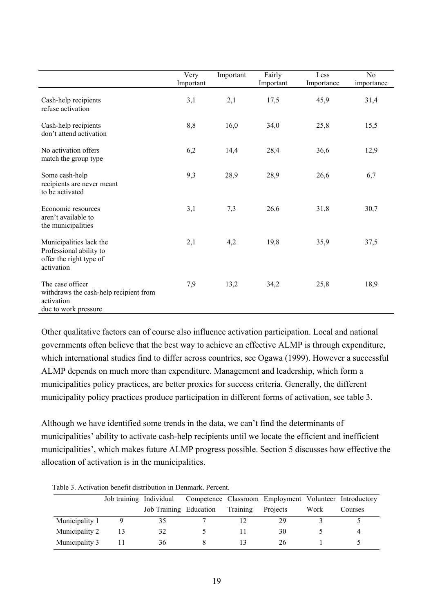|                                                                                                  | Very<br>Important | Important | Fairly<br>Important | Less<br>Importance | N <sub>0</sub><br>importance |
|--------------------------------------------------------------------------------------------------|-------------------|-----------|---------------------|--------------------|------------------------------|
| Cash-help recipients<br>refuse activation                                                        | 3,1               | 2,1       | 17,5                | 45,9               | 31,4                         |
| Cash-help recipients<br>don't attend activation                                                  | 8,8               | 16,0      | 34,0                | 25,8               | 15,5                         |
| No activation offers<br>match the group type                                                     | 6,2               | 14,4      | 28,4                | 36,6               | 12,9                         |
| Some cash-help<br>recipients are never meant<br>to be activated                                  | 9,3               | 28,9      | 28,9                | 26,6               | 6,7                          |
| Economic resources<br>aren't available to<br>the municipalities                                  | 3,1               | 7,3       | 26,6                | 31,8               | 30,7                         |
| Municipalities lack the<br>Professional ability to<br>offer the right type of<br>activation      | 2,1               | 4,2       | 19,8                | 35,9               | 37,5                         |
| The case officer<br>withdraws the cash-help recipient from<br>activation<br>due to work pressure | 7,9               | 13,2      | 34,2                | 25,8               | 18,9                         |

Other qualitative factors can of course also influence activation participation. Local and national governments often believe that the best way to achieve an effective ALMP is through expenditure, which international studies find to differ across countries, see Ogawa (1999). However a successful ALMP depends on much more than expenditure. Management and leadership, which form a municipalities policy practices, are better proxies for success criteria. Generally, the different municipality policy practices produce participation in different forms of activation, see table 3.

Although we have identified some trends in the data, we can't find the determinants of municipalities' ability to activate cash-help recipients until we locate the efficient and inefficient municipalities', which makes future ALMP progress possible. Section 5 discusses how effective the allocation of activation is in the municipalities.

| 1 WUIT UI 1 1774 : WYLUIL U VILVILY WIUVLIU WYLUIL III 12 VIIIIWLIEI 1 VLTTYNI |                         |                        |  |                 |                                                        |      |         |
|--------------------------------------------------------------------------------|-------------------------|------------------------|--|-----------------|--------------------------------------------------------|------|---------|
|                                                                                | Job training Individual |                        |  |                 | Competence Classroom Employment Volunteer Introductory |      |         |
|                                                                                |                         | Job Training Education |  | <b>Training</b> | <b>Projects</b>                                        | Work | Courses |
| Municipality 1                                                                 |                         | 35                     |  |                 | 29                                                     |      |         |
| Municipality 2                                                                 |                         | 32                     |  |                 | 30                                                     |      |         |
| Municipality 3                                                                 |                         | 36                     |  |                 | 26                                                     |      |         |

Table 3. Activation benefit distribution in Denmark. Percent.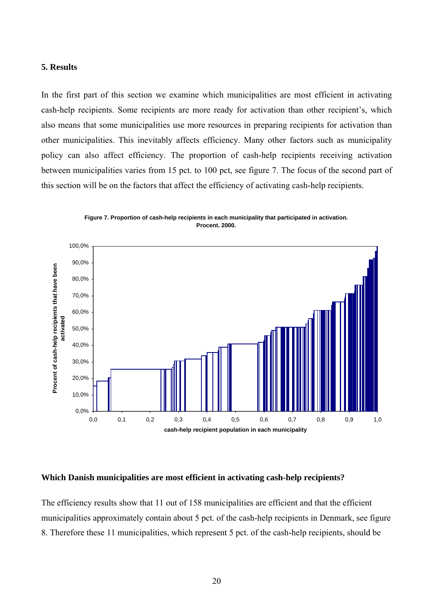#### **5. Results**

In the first part of this section we examine which municipalities are most efficient in activating cash-help recipients. Some recipients are more ready for activation than other recipient's, which also means that some municipalities use more resources in preparing recipients for activation than other municipalities. This inevitably affects efficiency. Many other factors such as municipality policy can also affect efficiency. The proportion of cash-help recipients receiving activation between municipalities varies from 15 pct. to 100 pct, see figure 7. The focus of the second part of this section will be on the factors that affect the efficiency of activating cash-help recipients.



**Figure 7. Proportion of cash-help recipients in each municipality that participated in activation. Procent. 2000.**

#### **Which Danish municipalities are most efficient in activating cash-help recipients?**

The efficiency results show that 11 out of 158 municipalities are efficient and that the efficient municipalities approximately contain about 5 pct. of the cash-help recipients in Denmark, see figure 8. Therefore these 11 municipalities, which represent 5 pct. of the cash-help recipients, should be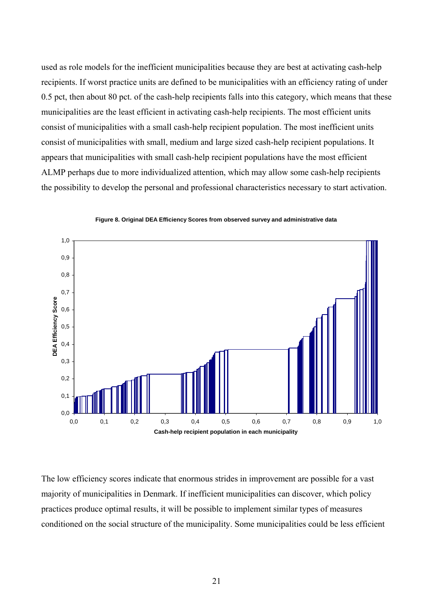used as role models for the inefficient municipalities because they are best at activating cash-help recipients. If worst practice units are defined to be municipalities with an efficiency rating of under 0.5 pct, then about 80 pct. of the cash-help recipients falls into this category, which means that these municipalities are the least efficient in activating cash-help recipients. The most efficient units consist of municipalities with a small cash-help recipient population. The most inefficient units consist of municipalities with small, medium and large sized cash-help recipient populations. It appears that municipalities with small cash-help recipient populations have the most efficient ALMP perhaps due to more individualized attention, which may allow some cash-help recipients the possibility to develop the personal and professional characteristics necessary to start activation.



**Figure 8. Original DEA Efficiency Scores from observed survey and administrative data**

The low efficiency scores indicate that enormous strides in improvement are possible for a vast majority of municipalities in Denmark. If inefficient municipalities can discover, which policy practices produce optimal results, it will be possible to implement similar types of measures conditioned on the social structure of the municipality. Some municipalities could be less efficient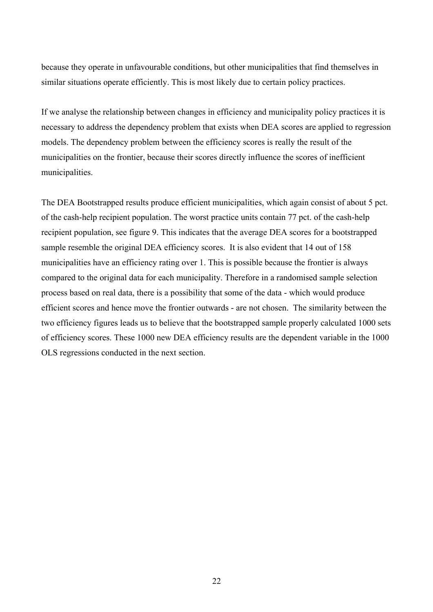because they operate in unfavourable conditions, but other municipalities that find themselves in similar situations operate efficiently. This is most likely due to certain policy practices.

If we analyse the relationship between changes in efficiency and municipality policy practices it is necessary to address the dependency problem that exists when DEA scores are applied to regression models. The dependency problem between the efficiency scores is really the result of the municipalities on the frontier, because their scores directly influence the scores of inefficient municipalities.

The DEA Bootstrapped results produce efficient municipalities, which again consist of about 5 pct. of the cash-help recipient population. The worst practice units contain 77 pct. of the cash-help recipient population, see figure 9. This indicates that the average DEA scores for a bootstrapped sample resemble the original DEA efficiency scores. It is also evident that 14 out of 158 municipalities have an efficiency rating over 1. This is possible because the frontier is always compared to the original data for each municipality. Therefore in a randomised sample selection process based on real data, there is a possibility that some of the data - which would produce efficient scores and hence move the frontier outwards - are not chosen. The similarity between the two efficiency figures leads us to believe that the bootstrapped sample properly calculated 1000 sets of efficiency scores. These 1000 new DEA efficiency results are the dependent variable in the 1000 OLS regressions conducted in the next section.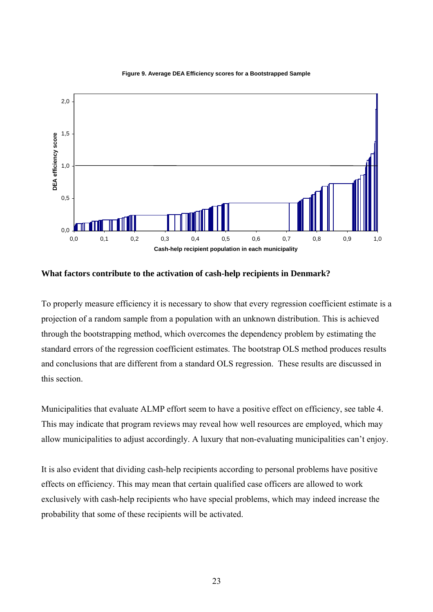



**What factors contribute to the activation of cash-help recipients in Denmark?** 

To properly measure efficiency it is necessary to show that every regression coefficient estimate is a projection of a random sample from a population with an unknown distribution. This is achieved through the bootstrapping method, which overcomes the dependency problem by estimating the standard errors of the regression coefficient estimates. The bootstrap OLS method produces results and conclusions that are different from a standard OLS regression. These results are discussed in this section.

Municipalities that evaluate ALMP effort seem to have a positive effect on efficiency, see table 4. This may indicate that program reviews may reveal how well resources are employed, which may allow municipalities to adjust accordingly. A luxury that non-evaluating municipalities can't enjoy.

It is also evident that dividing cash-help recipients according to personal problems have positive effects on efficiency. This may mean that certain qualified case officers are allowed to work exclusively with cash-help recipients who have special problems, which may indeed increase the probability that some of these recipients will be activated.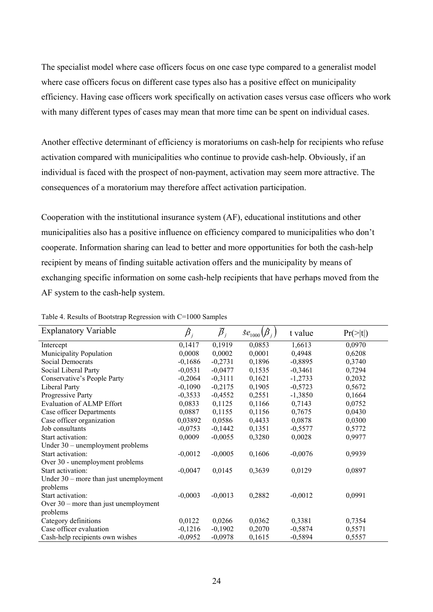The specialist model where case officers focus on one case type compared to a generalist model where case officers focus on different case types also has a positive effect on municipality efficiency. Having case officers work specifically on activation cases versus case officers who work with many different types of cases may mean that more time can be spent on individual cases.

Another effective determinant of efficiency is moratoriums on cash-help for recipients who refuse activation compared with municipalities who continue to provide cash-help. Obviously, if an individual is faced with the prospect of non-payment, activation may seem more attractive. The consequences of a moratorium may therefore affect activation participation.

Cooperation with the institutional insurance system (AF), educational institutions and other municipalities also has a positive influence on efficiency compared to municipalities who don't cooperate. Information sharing can lead to better and more opportunities for both the cash-help recipient by means of finding suitable activation offers and the municipality by means of exchanging specific information on some cash-help recipients that have perhaps moved from the AF system to the cash-help system.

| <b>Explanatory Variable</b>              | $\hat{\pmb{\beta}}_i$ | $\overline{\beta}_i$ | $\hat{S}e_{1000}(\hat{\beta}_{i})$ | t value   | $Pr(>\vert t \vert)$ |
|------------------------------------------|-----------------------|----------------------|------------------------------------|-----------|----------------------|
| Intercept                                | 0,1417                | 0,1919               | 0,0853                             | 1,6613    | 0,0970               |
| <b>Municipality Population</b>           | 0,0008                | 0,0002               | 0,0001                             | 0,4948    | 0,6208               |
| Social Democrats                         | $-0,1686$             | $-0,2731$            | 0,1896                             | $-0,8895$ | 0,3740               |
| Social Liberal Party                     | $-0,0531$             | $-0,0477$            | 0,1535                             | $-0,3461$ | 0,7294               |
| Conservative's People Party              | $-0,2064$             | $-0,3111$            | 0,1621                             | $-1,2733$ | 0,2032               |
| Liberal Party                            | $-0,1090$             | $-0,2175$            | 0,1905                             | $-0,5723$ | 0,5672               |
| Progressive Party                        | $-0,3533$             | $-0,4552$            | 0,2551                             | $-1,3850$ | 0,1664               |
| <b>Evaluation of ALMP Effort</b>         | 0,0833                | 0,1125               | 0,1166                             | 0,7143    | 0,0752               |
| Case officer Departments                 | 0,0887                | 0,1155               | 0,1156                             | 0,7675    | 0,0430               |
| Case officer organization                | 0,03892               | 0,0586               | 0,4433                             | 0,0878    | 0,0300               |
| Job consultants                          | $-0,0753$             | $-0,1442$            | 0,1351                             | $-0,5577$ | 0,5772               |
| Start activation:                        | 0,0009                | $-0,0055$            | 0,3280                             | 0,0028    | 0,9977               |
| Under 30 – unemployment problems         |                       |                      |                                    |           |                      |
| Start activation:                        | $-0,0012$             | $-0,0005$            | 0,1606                             | $-0,0076$ | 0,9939               |
| Over 30 - unemployment problems          |                       |                      |                                    |           |                      |
| Start activation:                        | $-0,0047$             | 0,0145               | 0,3639                             | 0,0129    | 0,0897               |
| Under $30$ – more than just unemployment |                       |                      |                                    |           |                      |
| problems                                 |                       |                      |                                    |           |                      |
| Start activation:                        | $-0,0003$             | $-0,0013$            | 0,2882                             | $-0,0012$ | 0,0991               |
| Over $30$ – more than just unemployment  |                       |                      |                                    |           |                      |
| problems                                 |                       |                      |                                    |           |                      |
| Category definitions                     | 0,0122                | 0,0266               | 0,0362                             | 0,3381    | 0,7354               |
| Case officer evaluation                  | $-0,1216$             | $-0,1902$            | 0,2070                             | $-0,5874$ | 0,5571               |
| Cash-help recipients own wishes          | $-0,0952$             | $-0,0978$            | 0,1615                             | $-0,5894$ | 0,5557               |

Table 4. Results of Bootstrap Regression with C=1000 Samples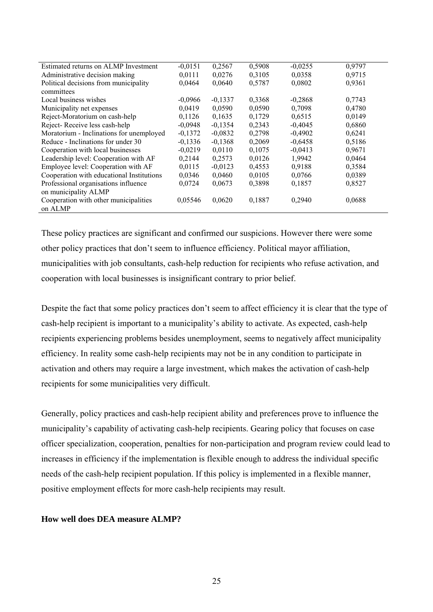| Estimated returns on ALMP Investment      | $-0,0151$ | 0,2567    | 0,5908 | $-0,0255$ | 0,9797 |
|-------------------------------------------|-----------|-----------|--------|-----------|--------|
| Administrative decision making            | 0,0111    | 0,0276    | 0,3105 | 0,0358    | 0,9715 |
| Political decisions from municipality     | 0,0464    | 0,0640    | 0,5787 | 0,0802    | 0,9361 |
| committees                                |           |           |        |           |        |
| Local business wishes                     | $-0.0966$ | $-0,1337$ | 0,3368 | $-0,2868$ | 0,7743 |
| Municipality net expenses                 | 0,0419    | 0,0590    | 0,0590 | 0,7098    | 0,4780 |
| Reject-Moratorium on cash-help            | 0,1126    | 0,1635    | 0,1729 | 0,6515    | 0,0149 |
| Reject-Receive less cash-help             | $-0,0948$ | $-0,1354$ | 0,2343 | $-0,4045$ | 0,6860 |
| Moratorium - Inclinations for unemployed  | $-0,1372$ | $-0,0832$ | 0,2798 | $-0,4902$ | 0,6241 |
| Reduce - Inclinations for under 30        | $-0,1336$ | $-0,1368$ | 0,2069 | $-0,6458$ | 0,5186 |
| Cooperation with local businesses         | $-0,0219$ | 0,0110    | 0,1075 | $-0,0413$ | 0,9671 |
| Leadership level: Cooperation with AF     | 0,2144    | 0,2573    | 0,0126 | 1,9942    | 0,0464 |
| Employee level: Cooperation with AF       | 0,0115    | $-0,0123$ | 0,4553 | 0,9188    | 0,3584 |
| Cooperation with educational Institutions | 0,0346    | 0,0460    | 0,0105 | 0,0766    | 0,0389 |
| Professional organisations influence      | 0,0724    | 0,0673    | 0,3898 | 0,1857    | 0,8527 |
| on municipality ALMP                      |           |           |        |           |        |
| Cooperation with other municipalities     | 0,05546   | 0,0620    | 0,1887 | 0,2940    | 0,0688 |
| on ALMP                                   |           |           |        |           |        |
|                                           |           |           |        |           |        |

These policy practices are significant and confirmed our suspicions. However there were some other policy practices that don't seem to influence efficiency. Political mayor affiliation, municipalities with job consultants, cash-help reduction for recipients who refuse activation, and cooperation with local businesses is insignificant contrary to prior belief.

Despite the fact that some policy practices don't seem to affect efficiency it is clear that the type of cash-help recipient is important to a municipality's ability to activate. As expected, cash-help recipients experiencing problems besides unemployment, seems to negatively affect municipality efficiency. In reality some cash-help recipients may not be in any condition to participate in activation and others may require a large investment, which makes the activation of cash-help recipients for some municipalities very difficult.

Generally, policy practices and cash-help recipient ability and preferences prove to influence the municipality's capability of activating cash-help recipients. Gearing policy that focuses on case officer specialization, cooperation, penalties for non-participation and program review could lead to increases in efficiency if the implementation is flexible enough to address the individual specific needs of the cash-help recipient population. If this policy is implemented in a flexible manner, positive employment effects for more cash-help recipients may result.

#### **How well does DEA measure ALMP?**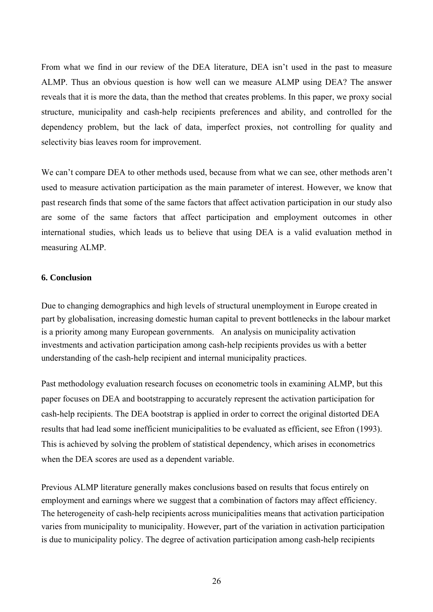From what we find in our review of the DEA literature, DEA isn't used in the past to measure ALMP. Thus an obvious question is how well can we measure ALMP using DEA? The answer reveals that it is more the data, than the method that creates problems. In this paper, we proxy social structure, municipality and cash-help recipients preferences and ability, and controlled for the dependency problem, but the lack of data, imperfect proxies, not controlling for quality and selectivity bias leaves room for improvement.

We can't compare DEA to other methods used, because from what we can see, other methods aren't used to measure activation participation as the main parameter of interest. However, we know that past research finds that some of the same factors that affect activation participation in our study also are some of the same factors that affect participation and employment outcomes in other international studies, which leads us to believe that using DEA is a valid evaluation method in measuring ALMP.

### **6. Conclusion**

Due to changing demographics and high levels of structural unemployment in Europe created in part by globalisation, increasing domestic human capital to prevent bottlenecks in the labour market is a priority among many European governments. An analysis on municipality activation investments and activation participation among cash-help recipients provides us with a better understanding of the cash-help recipient and internal municipality practices.

Past methodology evaluation research focuses on econometric tools in examining ALMP, but this paper focuses on DEA and bootstrapping to accurately represent the activation participation for cash-help recipients. The DEA bootstrap is applied in order to correct the original distorted DEA results that had lead some inefficient municipalities to be evaluated as efficient, see Efron (1993). This is achieved by solving the problem of statistical dependency, which arises in econometrics when the DEA scores are used as a dependent variable.

Previous ALMP literature generally makes conclusions based on results that focus entirely on employment and earnings where we suggest that a combination of factors may affect efficiency. The heterogeneity of cash-help recipients across municipalities means that activation participation varies from municipality to municipality. However, part of the variation in activation participation is due to municipality policy. The degree of activation participation among cash-help recipients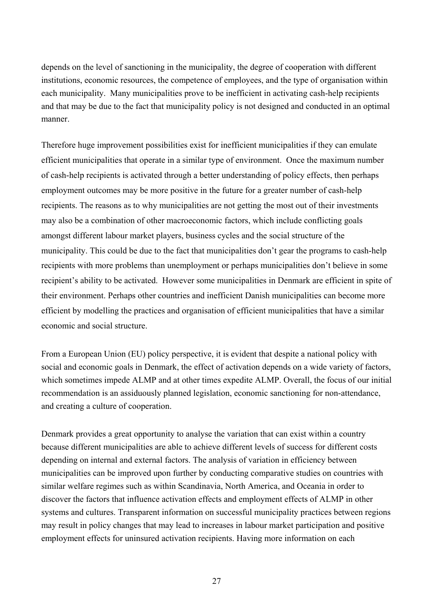depends on the level of sanctioning in the municipality, the degree of cooperation with different institutions, economic resources, the competence of employees, and the type of organisation within each municipality. Many municipalities prove to be inefficient in activating cash-help recipients and that may be due to the fact that municipality policy is not designed and conducted in an optimal manner.

Therefore huge improvement possibilities exist for inefficient municipalities if they can emulate efficient municipalities that operate in a similar type of environment. Once the maximum number of cash-help recipients is activated through a better understanding of policy effects, then perhaps employment outcomes may be more positive in the future for a greater number of cash-help recipients. The reasons as to why municipalities are not getting the most out of their investments may also be a combination of other macroeconomic factors, which include conflicting goals amongst different labour market players, business cycles and the social structure of the municipality. This could be due to the fact that municipalities don't gear the programs to cash-help recipients with more problems than unemployment or perhaps municipalities don't believe in some recipient's ability to be activated. However some municipalities in Denmark are efficient in spite of their environment. Perhaps other countries and inefficient Danish municipalities can become more efficient by modelling the practices and organisation of efficient municipalities that have a similar economic and social structure.

From a European Union (EU) policy perspective, it is evident that despite a national policy with social and economic goals in Denmark, the effect of activation depends on a wide variety of factors, which sometimes impede ALMP and at other times expedite ALMP. Overall, the focus of our initial recommendation is an assiduously planned legislation, economic sanctioning for non-attendance, and creating a culture of cooperation.

Denmark provides a great opportunity to analyse the variation that can exist within a country because different municipalities are able to achieve different levels of success for different costs depending on internal and external factors. The analysis of variation in efficiency between municipalities can be improved upon further by conducting comparative studies on countries with similar welfare regimes such as within Scandinavia, North America, and Oceania in order to discover the factors that influence activation effects and employment effects of ALMP in other systems and cultures. Transparent information on successful municipality practices between regions may result in policy changes that may lead to increases in labour market participation and positive employment effects for uninsured activation recipients. Having more information on each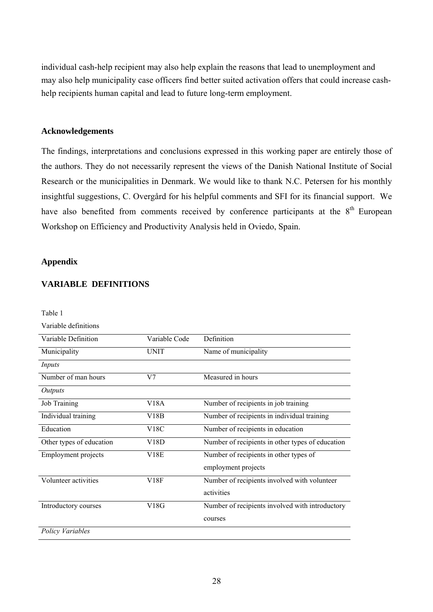individual cash-help recipient may also help explain the reasons that lead to unemployment and may also help municipality case officers find better suited activation offers that could increase cashhelp recipients human capital and lead to future long-term employment.

## **Acknowledgements**

The findings, interpretations and conclusions expressed in this working paper are entirely those of the authors. They do not necessarily represent the views of the Danish National Institute of Social Research or the municipalities in Denmark. We would like to thank N.C. Petersen for his monthly insightful suggestions, C. Overgård for his helpful comments and SFI for its financial support. We have also benefited from comments received by conference participants at the 8<sup>th</sup> European Workshop on Efficiency and Productivity Analysis held in Oviedo, Spain.

# **Appendix**

# **VARIABLE DEFINITIONS**

| Table 1                    |                   |                                                  |
|----------------------------|-------------------|--------------------------------------------------|
| Variable definitions       |                   |                                                  |
| Variable Definition        | Variable Code     | Definition                                       |
| Municipality               | <b>UNIT</b>       | Name of municipality                             |
| Inputs                     |                   |                                                  |
| Number of man hours        | V <sub>7</sub>    | Measured in hours                                |
| Outputs                    |                   |                                                  |
| Job Training               | V18A              | Number of recipients in job training             |
| Individual training        | V18B              | Number of recipients in individual training      |
| Education                  | V <sub>18</sub> C | Number of recipients in education                |
| Other types of education   | V18D              | Number of recipients in other types of education |
| <b>Employment projects</b> | V18E              | Number of recipients in other types of           |
|                            |                   | employment projects                              |
| Volunteer activities       | V18F              | Number of recipients involved with volunteer     |
|                            |                   | activities                                       |
| Introductory courses       | V18G              | Number of recipients involved with introductory  |
|                            |                   | courses                                          |
| Policy Variables           |                   |                                                  |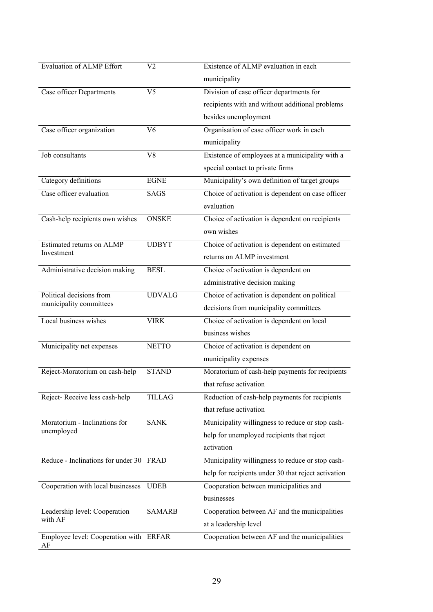| Evaluation of ALMP Effort               | V2             | Existence of ALMP evaluation in each                |
|-----------------------------------------|----------------|-----------------------------------------------------|
|                                         |                | municipality                                        |
| Case officer Departments                | V <sub>5</sub> | Division of case officer departments for            |
|                                         |                | recipients with and without additional problems     |
|                                         |                | besides unemployment                                |
| Case officer organization               | V <sub>6</sub> | Organisation of case officer work in each           |
|                                         |                | municipality                                        |
| Job consultants                         | V <sub>8</sub> | Existence of employees at a municipality with a     |
|                                         |                | special contact to private firms                    |
| Category definitions                    | <b>EGNE</b>    | Municipality's own definition of target groups      |
| Case officer evaluation                 | <b>SAGS</b>    | Choice of activation is dependent on case officer   |
|                                         |                | evaluation                                          |
| Cash-help recipients own wishes         | <b>ONSKE</b>   | Choice of activation is dependent on recipients     |
|                                         |                | own wishes                                          |
| Estimated returns on ALMP               | <b>UDBYT</b>   | Choice of activation is dependent on estimated      |
| Investment                              |                | returns on ALMP investment                          |
| Administrative decision making          | <b>BESL</b>    | Choice of activation is dependent on                |
|                                         |                | administrative decision making                      |
| Political decisions from                | <b>UDVALG</b>  | Choice of activation is dependent on political      |
| municipality committees                 |                | decisions from municipality committees              |
| Local business wishes                   | <b>VIRK</b>    | Choice of activation is dependent on local          |
|                                         |                | business wishes                                     |
| Municipality net expenses               | <b>NETTO</b>   | Choice of activation is dependent on                |
|                                         |                | municipality expenses                               |
| Reject-Moratorium on cash-help          | <b>STAND</b>   | Moratorium of cash-help payments for recipients     |
|                                         |                | that refuse activation                              |
| Reject-Receive less cash-help           | <b>TILLAG</b>  | Reduction of cash-help payments for recipients      |
|                                         |                | that refuse activation                              |
| Moratorium - Inclinations for           | <b>SANK</b>    | Municipality willingness to reduce or stop cash-    |
| unemployed                              |                | help for unemployed recipients that reject          |
|                                         |                | activation                                          |
| Reduce - Inclinations for under 30 FRAD |                | Municipality willingness to reduce or stop cash-    |
|                                         |                | help for recipients under 30 that reject activation |
| Cooperation with local businesses       | <b>UDEB</b>    | Cooperation between municipalities and              |
|                                         |                | businesses                                          |
| Leadership level: Cooperation           | <b>SAMARB</b>  | Cooperation between AF and the municipalities       |
| with AF                                 |                | at a leadership level                               |
| Employee level: Cooperation with ERFAR  |                | Cooperation between AF and the municipalities       |
| AF                                      |                |                                                     |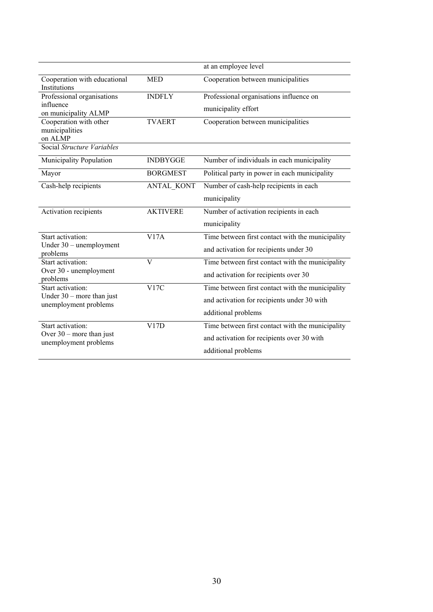|                                                      |                   | at an employee level                             |
|------------------------------------------------------|-------------------|--------------------------------------------------|
| Cooperation with educational<br>Institutions         | <b>MED</b>        | Cooperation between municipalities               |
| Professional organisations                           | <b>INDFLY</b>     | Professional organisations influence on          |
| influence<br>on municipality ALMP                    |                   | municipality effort                              |
| Cooperation with other<br>municipalities<br>on ALMP  | <b>TVAERT</b>     | Cooperation between municipalities               |
| Social Structure Variables                           |                   |                                                  |
| Municipality Population                              | <b>INDBYGGE</b>   | Number of individuals in each municipality       |
| Mayor                                                | <b>BORGMEST</b>   | Political party in power in each municipality    |
| Cash-help recipients                                 | <b>ANTAL KONT</b> | Number of cash-help recipients in each           |
|                                                      |                   | municipality                                     |
| Activation recipients                                | <b>AKTIVERE</b>   | Number of activation recipients in each          |
|                                                      |                   | municipality                                     |
| Start activation:                                    | V17A              | Time between first contact with the municipality |
| Under 30 - unemployment<br>problems                  |                   | and activation for recipients under 30           |
| Start activation:                                    | $\overline{V}$    | Time between first contact with the municipality |
| Over 30 - unemployment<br>problems                   |                   | and activation for recipients over 30            |
| Start activation:                                    | V17C              | Time between first contact with the municipality |
| Under $30$ – more than just<br>unemployment problems |                   | and activation for recipients under 30 with      |
|                                                      |                   | additional problems                              |
| Start activation:                                    | V17D              | Time between first contact with the municipality |
| Over $30$ – more than just<br>unemployment problems  |                   | and activation for recipients over 30 with       |
|                                                      |                   | additional problems                              |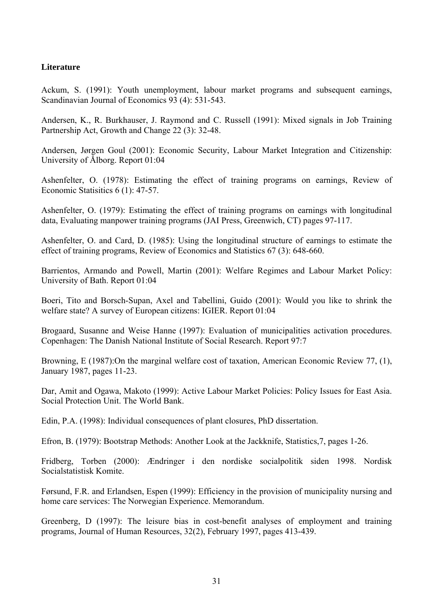# **Literature**

Ackum, S. (1991): Youth unemployment, labour market programs and subsequent earnings, Scandinavian Journal of Economics 93 (4): 531-543.

Andersen, K., R. Burkhauser, J. Raymond and C. Russell (1991): Mixed signals in Job Training Partnership Act, Growth and Change 22 (3): 32-48.

Andersen, Jørgen Goul (2001): Economic Security, Labour Market Integration and Citizenship: University of Ålborg. Report 01:04

Ashenfelter, O. (1978): Estimating the effect of training programs on earnings, Review of Economic Statisitics 6 (1): 47-57.

Ashenfelter, O. (1979): Estimating the effect of training programs on earnings with longitudinal data, Evaluating manpower training programs (JAI Press, Greenwich, CT) pages 97-117.

Ashenfelter, O. and Card, D. (1985): Using the longitudinal structure of earnings to estimate the effect of training programs, Review of Economics and Statistics 67 (3): 648-660.

Barrientos, Armando and Powell, Martin (2001): Welfare Regimes and Labour Market Policy: University of Bath. Report 01:04

Boeri, Tito and Borsch-Supan, Axel and Tabellini, Guido (2001): Would you like to shrink the welfare state? A survey of European citizens: IGIER. Report 01:04

Brogaard, Susanne and Weise Hanne (1997): Evaluation of municipalities activation procedures. Copenhagen: The Danish National Institute of Social Research. Report 97:7

Browning, E (1987):On the marginal welfare cost of taxation, American Economic Review 77, (1), January 1987, pages 11-23.

Dar, Amit and Ogawa, Makoto (1999): Active Labour Market Policies: Policy Issues for East Asia. Social Protection Unit. The World Bank.

Edin, P.A. (1998): Individual consequences of plant closures, PhD dissertation.

Efron, B. (1979): Bootstrap Methods: Another Look at the Jackknife, Statistics,7, pages 1-26.

Fridberg, Torben (2000): Ændringer i den nordiske socialpolitik siden 1998. Nordisk Socialstatistisk Komite.

Førsund, F.R. and Erlandsen, Espen (1999): Efficiency in the provision of municipality nursing and home care services: The Norwegian Experience. Memorandum.

Greenberg, D (1997): The leisure bias in cost-benefit analyses of employment and training programs, Journal of Human Resources, 32(2), February 1997, pages 413-439.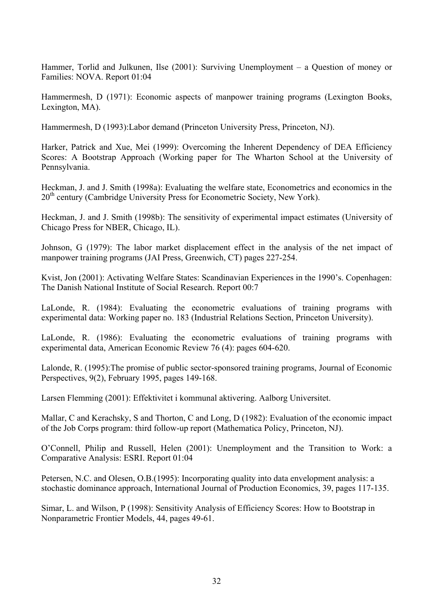Hammer, Torlid and Julkunen, Ilse (2001): Surviving Unemployment – a Question of money or Families: NOVA. Report 01:04

Hammermesh, D (1971): Economic aspects of manpower training programs (Lexington Books, Lexington, MA).

Hammermesh, D (1993):Labor demand (Princeton University Press, Princeton, NJ).

Harker, Patrick and Xue, Mei (1999): Overcoming the Inherent Dependency of DEA Efficiency Scores: A Bootstrap Approach (Working paper for The Wharton School at the University of Pennsylvania.

Heckman, J. and J. Smith (1998a): Evaluating the welfare state, Econometrics and economics in the  $20<sup>th</sup>$  century (Cambridge University Press for Econometric Society, New York).

Heckman, J. and J. Smith (1998b): The sensitivity of experimental impact estimates (University of Chicago Press for NBER, Chicago, IL).

Johnson, G (1979): The labor market displacement effect in the analysis of the net impact of manpower training programs (JAI Press, Greenwich, CT) pages 227-254.

Kvist, Jon (2001): Activating Welfare States: Scandinavian Experiences in the 1990's. Copenhagen: The Danish National Institute of Social Research. Report 00:7

LaLonde, R. (1984): Evaluating the econometric evaluations of training programs with experimental data: Working paper no. 183 (Industrial Relations Section, Princeton University).

LaLonde, R. (1986): Evaluating the econometric evaluations of training programs with experimental data, American Economic Review 76 (4): pages 604-620.

Lalonde, R. (1995):The promise of public sector-sponsored training programs, Journal of Economic Perspectives, 9(2), February 1995, pages 149-168.

Larsen Flemming (2001): Effektivitet i kommunal aktivering. Aalborg Universitet.

Mallar, C and Kerachsky, S and Thorton, C and Long, D (1982): Evaluation of the economic impact of the Job Corps program: third follow-up report (Mathematica Policy, Princeton, NJ).

O'Connell, Philip and Russell, Helen (2001): Unemployment and the Transition to Work: a Comparative Analysis: ESRI. Report 01:04

Petersen, N.C. and Olesen, O.B.(1995): Incorporating quality into data envelopment analysis: a stochastic dominance approach, International Journal of Production Economics, 39, pages 117-135.

Simar, L. and Wilson, P (1998): Sensitivity Analysis of Efficiency Scores: How to Bootstrap in Nonparametric Frontier Models, 44, pages 49-61.